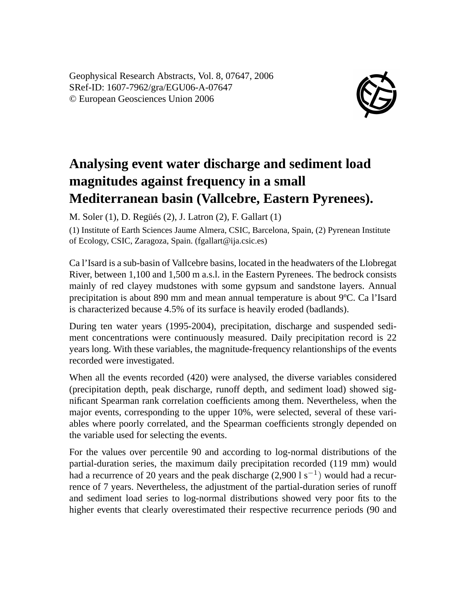Geophysical Research Abstracts, Vol. 8, 07647, 2006 SRef-ID: 1607-7962/gra/EGU06-A-07647 © European Geosciences Union 2006



## **Analysing event water discharge and sediment load magnitudes against frequency in a small Mediterranean basin (Vallcebre, Eastern Pyrenees).**

M. Soler (1), D. Regüés (2), J. Latron (2), F. Gallart (1)

(1) Institute of Earth Sciences Jaume Almera, CSIC, Barcelona, Spain, (2) Pyrenean Institute of Ecology, CSIC, Zaragoza, Spain. (fgallart@ija.csic.es)

Ca l'Isard is a sub-basin of Vallcebre basins, located in the headwaters of the Llobregat River, between 1,100 and 1,500 m a.s.l. in the Eastern Pyrenees. The bedrock consists mainly of red clayey mudstones with some gypsum and sandstone layers. Annual precipitation is about 890 mm and mean annual temperature is about 9ºC. Ca l'Isard is characterized because 4.5% of its surface is heavily eroded (badlands).

During ten water years (1995-2004), precipitation, discharge and suspended sediment concentrations were continuously measured. Daily precipitation record is 22 years long. With these variables, the magnitude-frequency relantionships of the events recorded were investigated.

When all the events recorded (420) were analysed, the diverse variables considered (precipitation depth, peak discharge, runoff depth, and sediment load) showed significant Spearman rank correlation coefficients among them. Nevertheless, when the major events, corresponding to the upper 10%, were selected, several of these variables where poorly correlated, and the Spearman coefficients strongly depended on the variable used for selecting the events.

For the values over percentile 90 and according to log-normal distributions of the partial-duration series, the maximum daily precipitation recorded (119 mm) would had a recurrence of 20 years and the peak discharge  $(2,9001 \text{ s}^{-1})$  would had a recurrence of 7 years. Nevertheless, the adjustment of the partial-duration series of runoff and sediment load series to log-normal distributions showed very poor fits to the higher events that clearly overestimated their respective recurrence periods (90 and